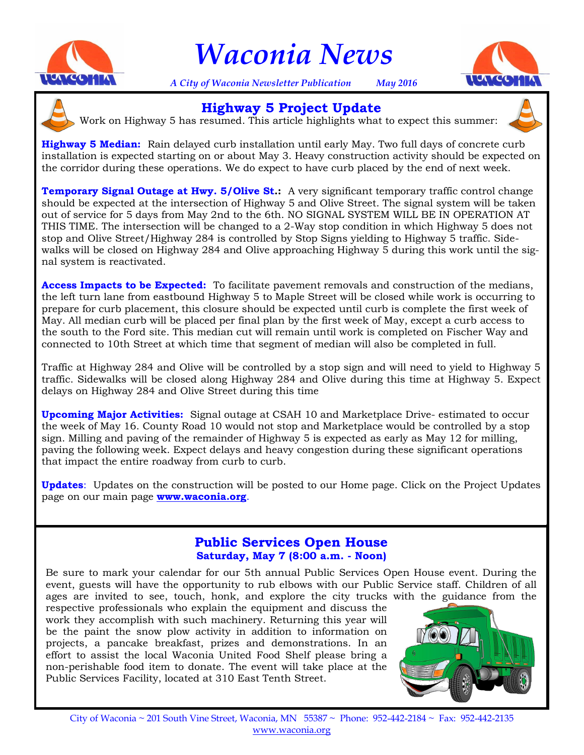

# *Waconia News*

*A City of Waconia Newsletter Publication May 2016*





Work on Highway 5 has resumed. This article highlights what to expect this summer: **Highway 5 Project Update**



**Highway 5 Median:** Rain delayed curb installation until early May. Two full days of concrete curb installation is expected starting on or about May 3. Heavy construction activity should be expected on the corridor during these operations. We do expect to have curb placed by the end of next week.

**Temporary Signal Outage at Hwy. 5/Olive St.:** A very significant temporary traffic control change should be expected at the intersection of Highway 5 and Olive Street. The signal system will be taken out of service for 5 days from May 2nd to the 6th. NO SIGNAL SYSTEM WILL BE IN OPERATION AT THIS TIME. The intersection will be changed to a 2-Way stop condition in which Highway 5 does not stop and Olive Street/Highway 284 is controlled by Stop Signs yielding to Highway 5 traffic. Sidewalks will be closed on Highway 284 and Olive approaching Highway 5 during this work until the signal system is reactivated.

**Access Impacts to be Expected:** To facilitate pavement removals and construction of the medians, the left turn lane from eastbound Highway 5 to Maple Street will be closed while work is occurring to prepare for curb placement, this closure should be expected until curb is complete the first week of May. All median curb will be placed per final plan by the first week of May, except a curb access to the south to the Ford site. This median cut will remain until work is completed on Fischer Way and connected to 10th Street at which time that segment of median will also be completed in full.

Traffic at Highway 284 and Olive will be controlled by a stop sign and will need to yield to Highway 5 traffic. Sidewalks will be closed along Highway 284 and Olive during this time at Highway 5. Expect delays on Highway 284 and Olive Street during this time

**Upcoming Major Activities:** Signal outage at CSAH 10 and Marketplace Drive- estimated to occur the week of May 16. County Road 10 would not stop and Marketplace would be controlled by a stop sign. Milling and paving of the remainder of Highway 5 is expected as early as May 12 for milling, paving the following week. Expect delays and heavy congestion during these significant operations that impact the entire roadway from curb to curb.

**Updates**: Updates on the construction will be posted to our Home page. Click on the Project Updates page on our main page **www.waconia.org**.

#### **Public Services Open House Saturday, May 7 (8:00 a.m. - Noon)**

Be sure to mark your calendar for our 5th annual Public Services Open House event. During the event, guests will have the opportunity to rub elbows with our Public Service staff. Children of all ages are invited to see, touch, honk, and explore the city trucks with the guidance from the

respective professionals who explain the equipment and discuss the work they accomplish with such machinery. Returning this year will be the paint the snow plow activity in addition to information on projects, a pancake breakfast, prizes and demonstrations. In an effort to assist the local Waconia United Food Shelf please bring a non-perishable food item to donate. The event will take place at the Public Services Facility, located at 310 East Tenth Street.